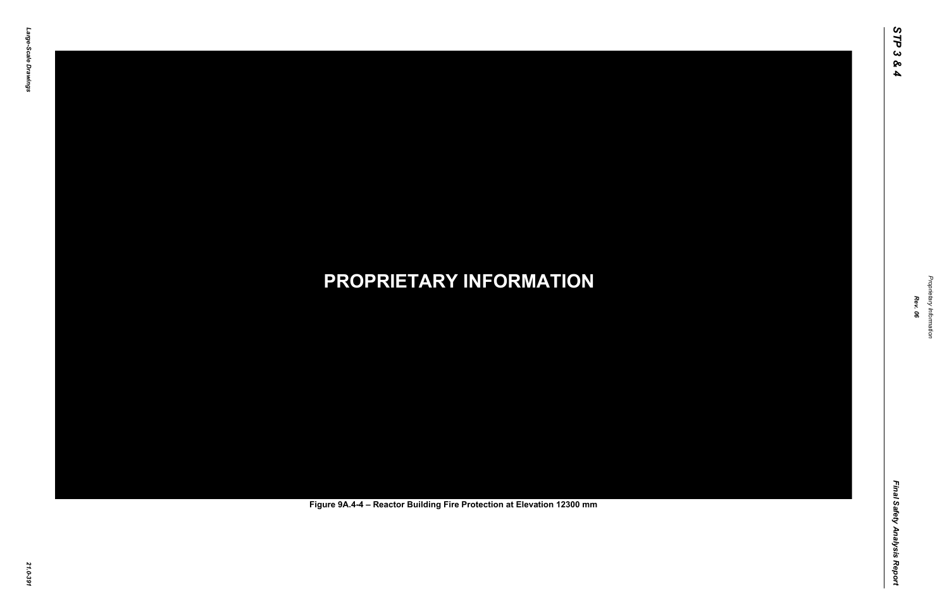Final Safety Analysis Report *Final Safety Analysis Report*



Proprietary Information *Proprietary Information*

# *21.0-391* **PROPRIETARY INFORMATION Figure 9A.4-4 – Reactor Building Fire Protection at Elevation 12300 mm**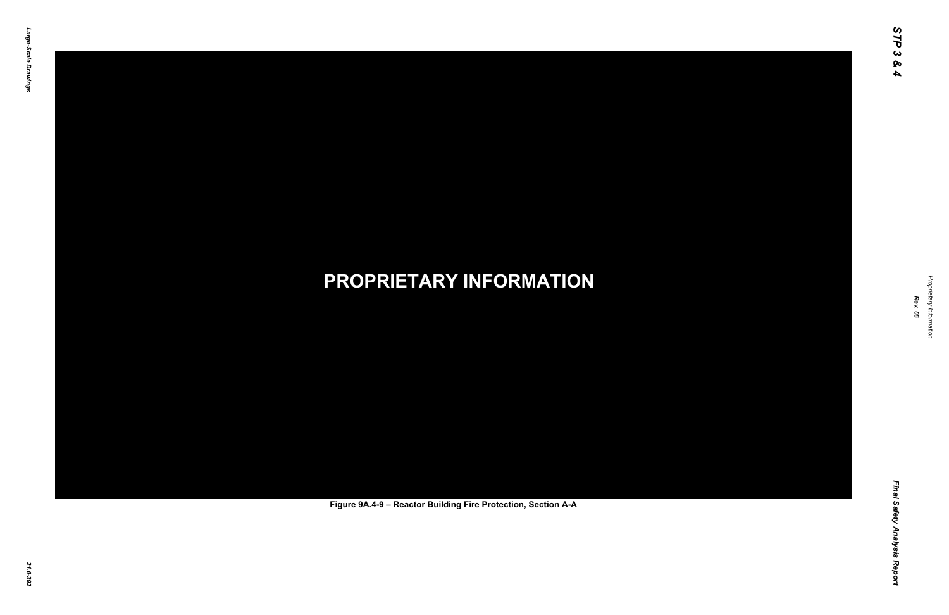Final Safety Analysis Report *Final Safety Analysis Report*



Proprietary Information *Proprietary Information*

# *21.0-392* **PROPRIETARY INFORMATION Figure 9A.4-9 – Reactor Building Fire Protection, Section A-A**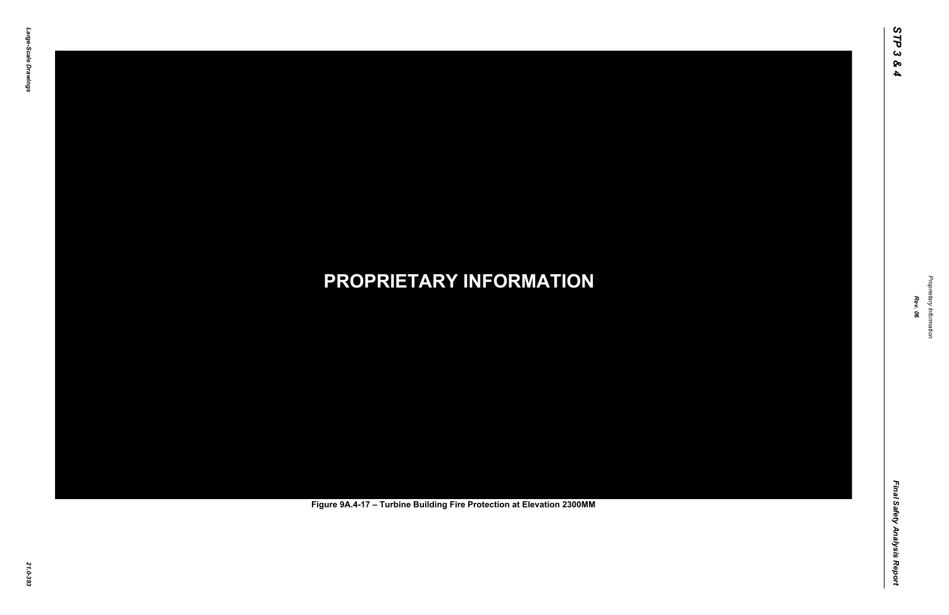Final Safety Analysis Report *Final Safety Analysis Report*



Proprietary Information *Proprietary Information*

# *21.0-393* **PROPRIETARY INFORMATION Figure 9A.4-17 – Turbine Building Fire Protection at Elevation 2300MM**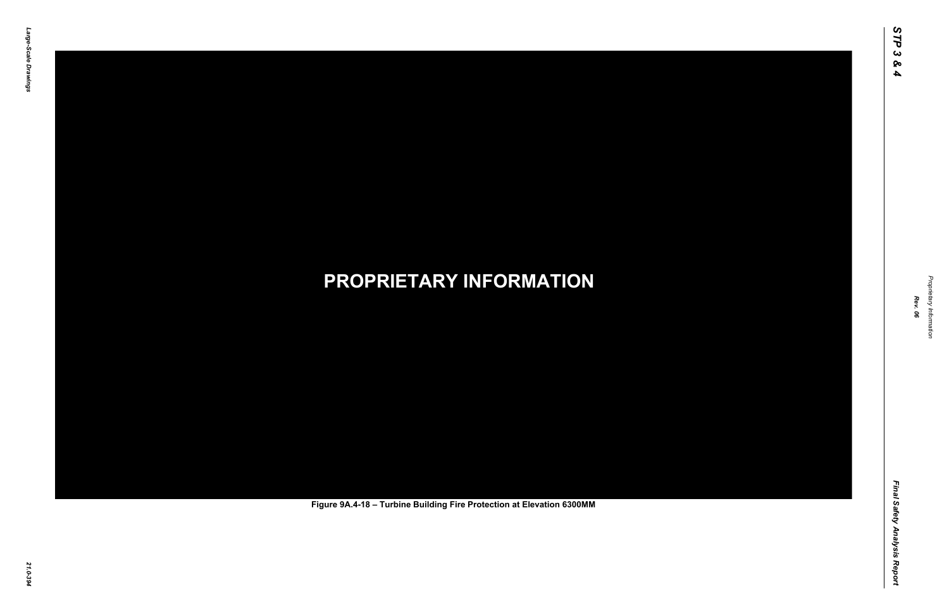Final Safety Analysis Report *Final Safety Analysis Report*



Proprietary Information *Proprietary Information*

# *21.0-394* **PROPRIETARY INFORMATION Figure 9A.4-18 – Turbine Building Fire Protection at Elevation 6300MM**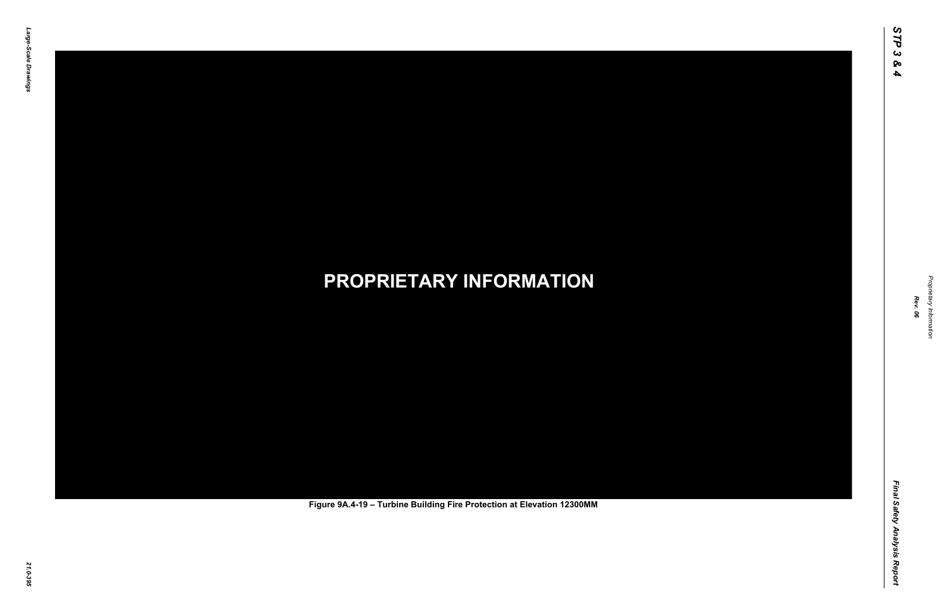Final Safety Analysis Report *Final Safety Analysis Report*



Proprietary Information *Proprietary Information*

# *21.0-395* **PROPRIETARY INFORMATION Figure 9A.4-19 – Turbine Building Fire Protection at Elevation 12300MM**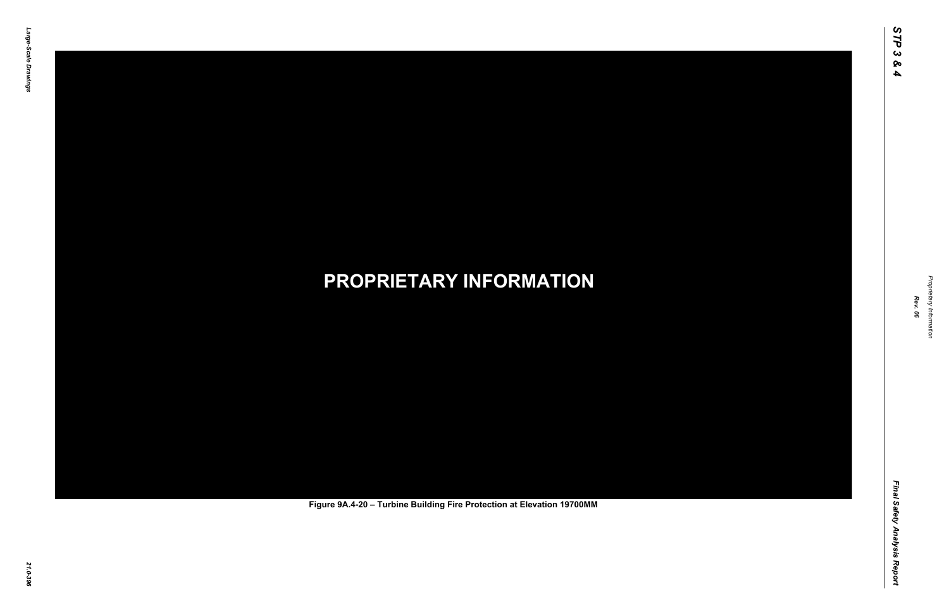Final Safety Analysis Report *Final Safety Analysis Report*



Proprietary Information *Proprietary Information*

# *21.0-396* **PROPRIETARY INFORMATION Figure 9A.4-20 – Turbine Building Fire Protection at Elevation 19700MM**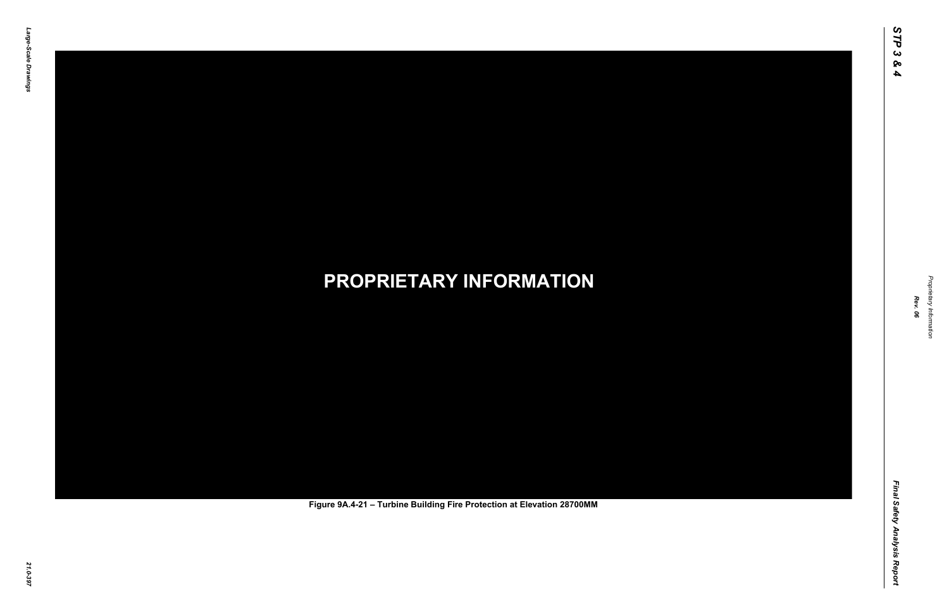Final Safety Analysis Report *Final Safety Analysis Report*



Proprietary Information *Proprietary Information*

# *21.0-397* **PROPRIETARY INFORMATION Figure 9A.4-21 – Turbine Building Fire Protection at Elevation 28700MM**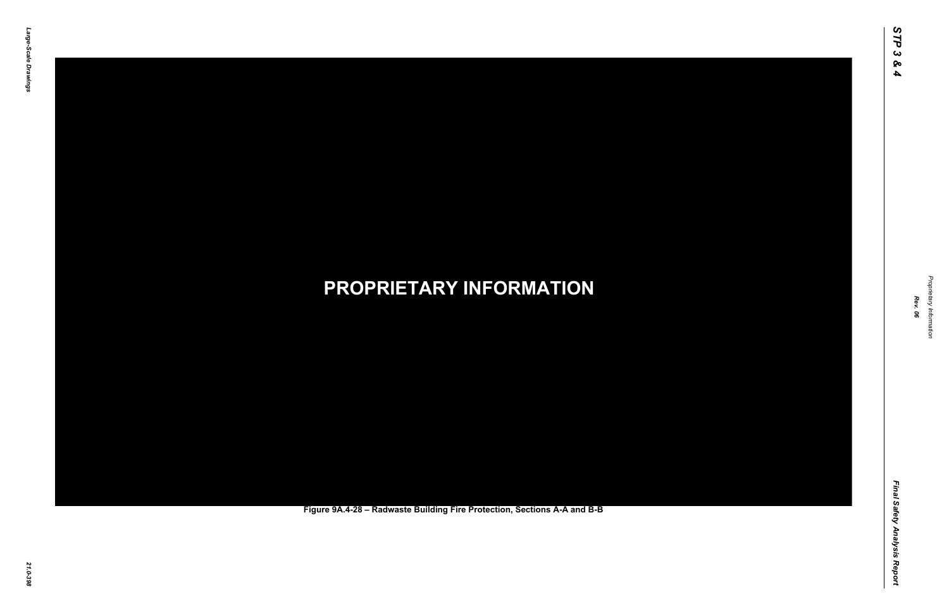Final Safety Analysis Report *Final Safety Analysis Report*



Proprietary Information *Proprietary Information*

### *21.0-398* **PROPRIETARY INFORMATION Figure 9A.4-28 – Radwaste Building Fire Protection, Sections A-A and B-B**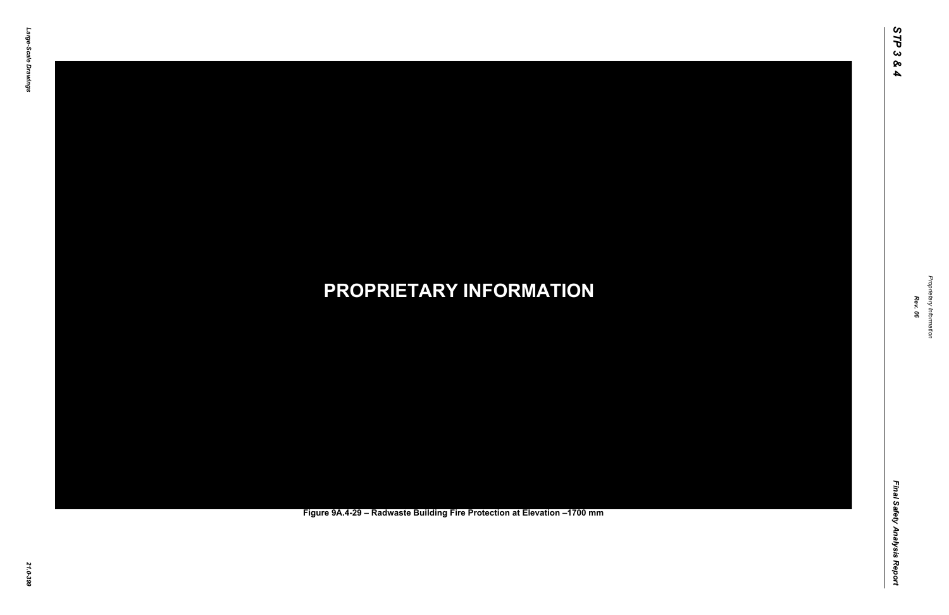Final Safety Analysis Report *Final Safety Analysis Report*



Proprietary Information *Proprietary Information*

### *21.0-399* **PROPRIETARY INFORMATION Figure 9A.4-29 – Radwaste Building Fire Protection at Elevation –1700 mm**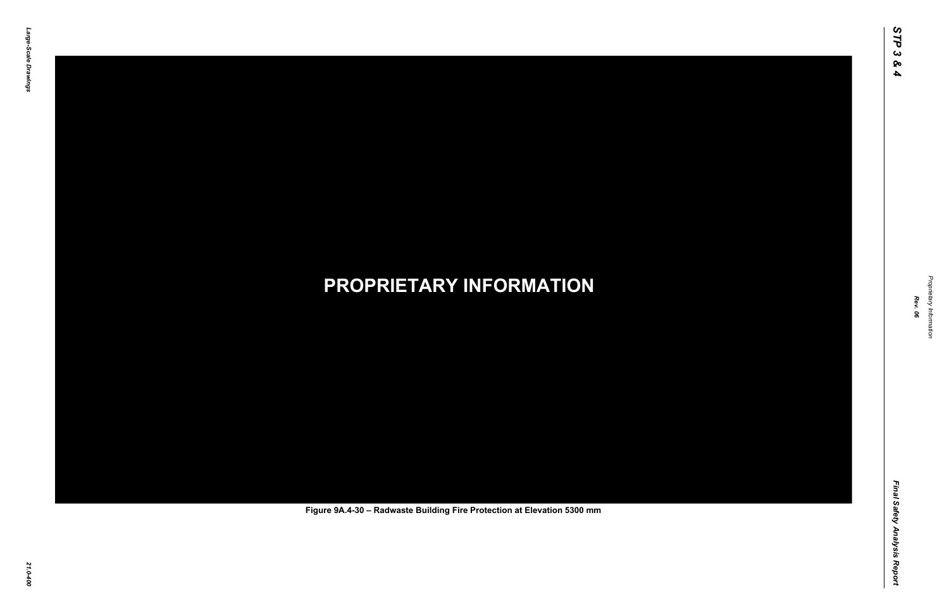Final Safety Analysis Report *Final Safety Analysis Report*



Proprietary Information *Proprietary Information*

### *21.0-400* **PROPRIETARY INFORMATION Figure 9A.4-30 – Radwaste Building Fire Protection at Elevation 5300 mm**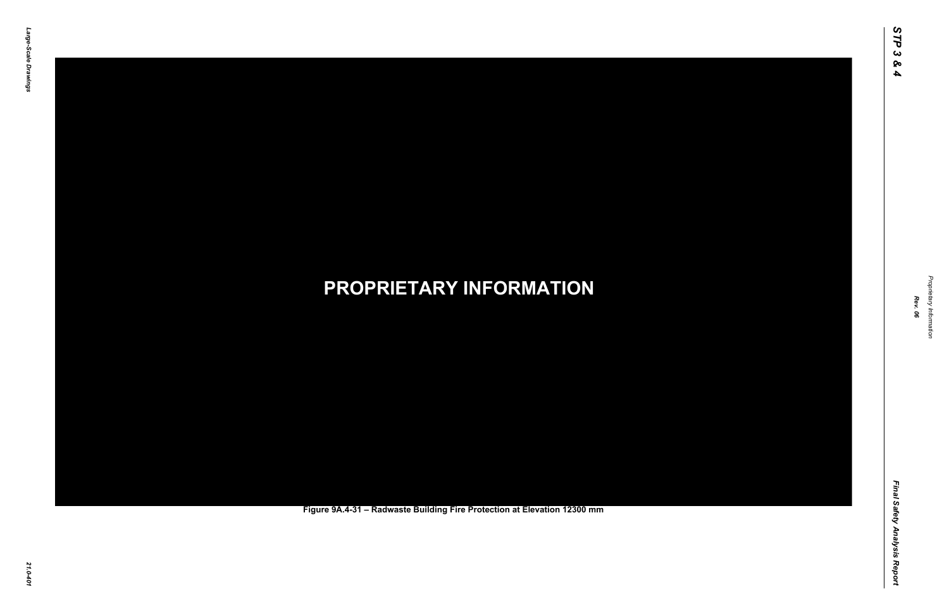Final Safety Analysis Report *Final Safety Analysis Report*



Proprietary Information *Proprietary Information*

### *21.0-401* **PROPRIETARY INFORMATION Figure 9A.4-31 – Radwaste Building Fire Protection at Elevation 12300 mm**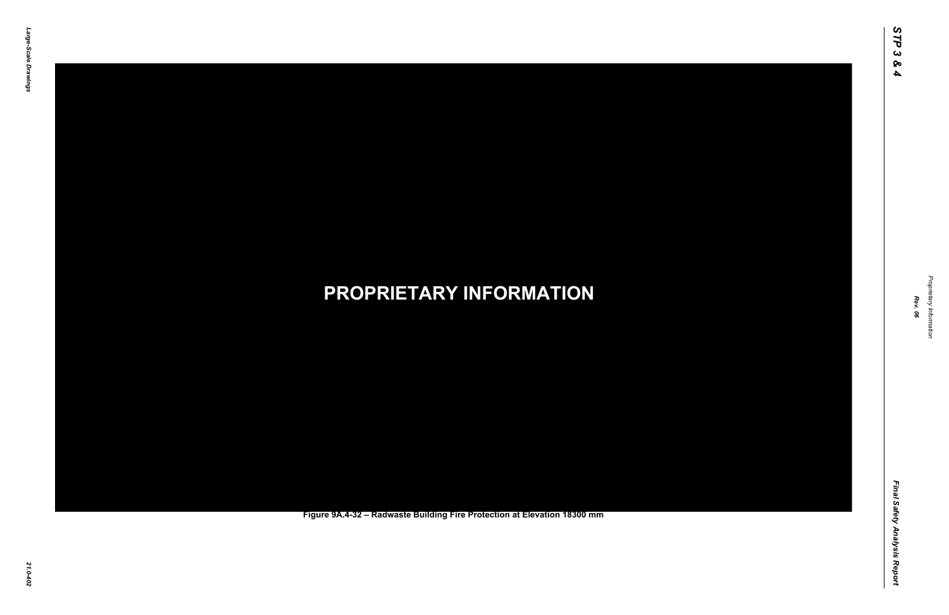Final Safety Analysis Report *Final Safety Analysis Report*



Proprietary Information *Proprietary Information*

#### *21.0-402* **PROPRIETARY INFORMATION Figure 9A.4-32 – Radwaste Building Fire Protection at Elevation 18300 mm**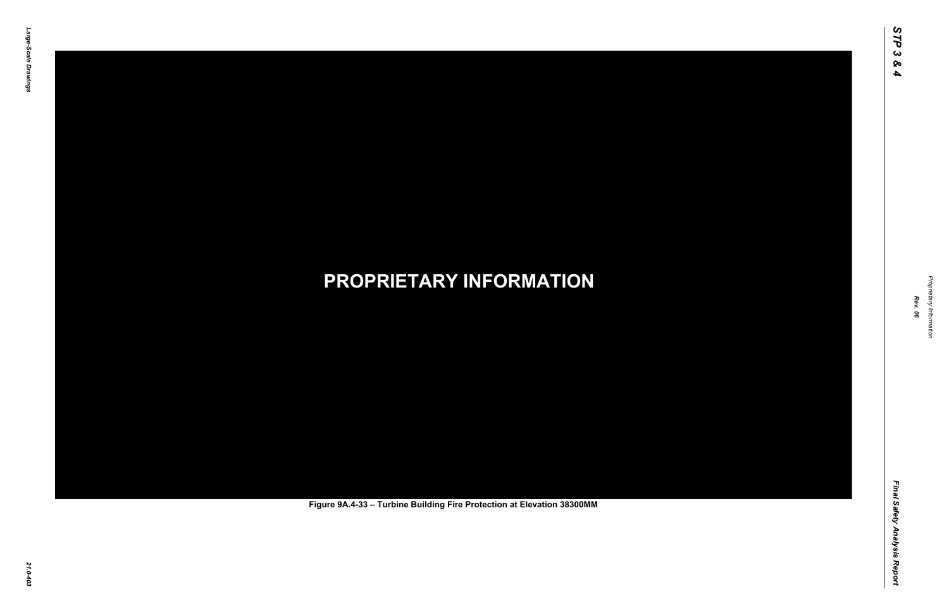Final Safety Analysis Report *Final Safety Analysis Report*



Proprietary Information *Proprietary Information*

# *21.0-403* **PROPRIETARY INFORMATION Figure 9A.4-33 – Turbine Building Fire Protection at Elevation 38300MM**